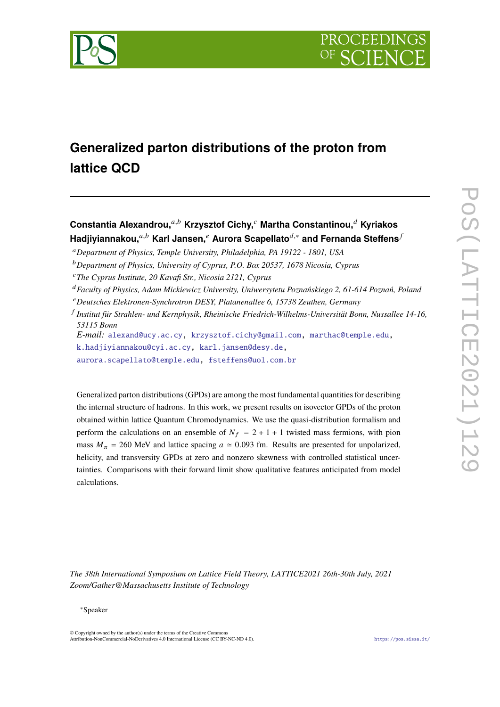

# **Generalized parton distributions of the proton from lattice QCD**

**Constantia Alexandrou,**𝑎,𝑏 **Krzysztof Cichy,**<sup>𝑐</sup> **Martha Constantinou,**<sup>𝑑</sup> **Kyriakos Hadjiyiannakou,**<sup>a,b</sup> Karl Jansen,<sup> $e$ </sup> Aurora Scapellato<sup>d,∗</sup> and Fernanda Steffens<sup>*f*</sup>

<sup>𝑎</sup>*Department of Physics, Temple University, Philadelphia, PA 19122 - 1801, USA*

<sup>𝑏</sup>*Department of Physics, University of Cyprus, P.O. Box 20537, 1678 Nicosia, Cyprus*

- <sup>𝑐</sup>*The Cyprus Institute, 20 Kavafi Str., Nicosia 2121, Cyprus*
- <sup>𝑑</sup>*Faculty of Physics, Adam Mickiewicz University, Uniwersytetu Poznańskiego 2, 61-614 Poznań, Poland*
- <sup>𝑒</sup>*Deutsches Elektronen-Synchrotron DESY, Platanenallee 6, 15738 Zeuthen, Germany*
- 𝑓 *Institut für Strahlen- und Kernphysik, Rheinische Friedrich-Wilhelms-Universität Bonn, Nussallee 14-16, 53115 Bonn*

*E-mail:* [alexand@ucy.ac.cy,](mailto:alexand@ucy.ac.cy) [krzysztof.cichy@gmail.com,](mailto:krzysztof.cichy@gmail.com) [marthac@temple.edu,](mailto:marthac@temple.edu)

[k.hadjiyiannakou@cyi.ac.cy,](mailto:k.hadjiyiannakou@cyi.ac.cy) [karl.jansen@desy.de,](mailto:karl.jansen@desy.de)

[aurora.scapellato@temple.edu,](mailto:aurora.scapellato@temple.edu) [fsteffens@uol.com.br](mailto:fsteffens@uol.com.br)

Generalized parton distributions (GPDs) are among the most fundamental quantities for describing the internal structure of hadrons. In this work, we present results on isovector GPDs of the proton obtained within lattice Quantum Chromodynamics. We use the quasi-distribution formalism and perform the calculations on an ensemble of  $N_f = 2 + 1 + 1$  twisted mass fermions, with pion mass  $M_{\pi}$  = 260 MeV and lattice spacing  $a \approx 0.093$  fm. Results are presented for unpolarized, helicity, and transversity GPDs at zero and nonzero skewness with controlled statistical uncertainties. Comparisons with their forward limit show qualitative features anticipated from model calculations.

*The 38th International Symposium on Lattice Field Theory, LATTICE2021 26th-30th July, 2021 Zoom/Gather@Massachusetts Institute of Technology*

© Copyright owned by the author(s) under the terms of the Creative Commons Attribution-NonCommercial-NoDerivatives 4.0 International License (CC BY-NC-ND 4.0). <https://pos.sissa.it/>

<sup>∗</sup>Speaker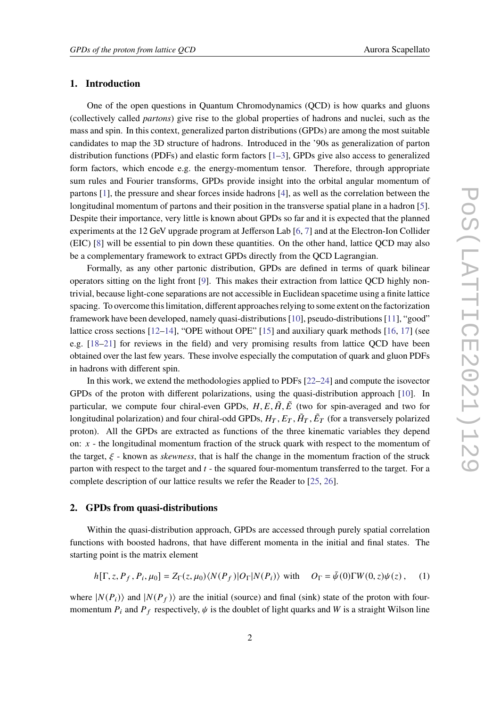# **1. Introduction**

One of the open questions in Quantum Chromodynamics (QCD) is how quarks and gluons (collectively called *partons*) give rise to the global properties of hadrons and nuclei, such as the mass and spin. In this context, generalized parton distributions (GPDs) are among the most suitable candidates to map the 3D structure of hadrons. Introduced in the '90s as generalization of parton distribution functions (PDFs) and elastic form factors [\[1](#page-7-0)[–3\]](#page-7-1), GPDs give also access to generalized form factors, which encode e.g. the energy-momentum tensor. Therefore, through appropriate sum rules and Fourier transforms, GPDs provide insight into the orbital angular momentum of partons [\[1\]](#page-7-0), the pressure and shear forces inside hadrons [\[4\]](#page-7-2), as well as the correlation between the longitudinal momentum of partons and their position in the transverse spatial plane in a hadron [\[5\]](#page-7-3). Despite their importance, very little is known about GPDs so far and it is expected that the planned experiments at the 12 GeV upgrade program at Jefferson Lab [\[6,](#page-8-0) [7\]](#page-8-1) and at the Electron-Ion Collider (EIC) [\[8\]](#page-8-2) will be essential to pin down these quantities. On the other hand, lattice QCD may also be a complementary framework to extract GPDs directly from the QCD Lagrangian.

Formally, as any other partonic distribution, GPDs are defined in terms of quark bilinear operators sitting on the light front [\[9\]](#page-8-3). This makes their extraction from lattice QCD highly nontrivial, because light-cone separations are not accessible in Euclidean spacetime using a finite lattice spacing. To overcome this limitation, different approaches relying to some extent on the factorization framework have been developed, namely quasi-distributions [\[10\]](#page-8-4), pseudo-distributions [\[11\]](#page-8-5), "good" lattice cross sections [\[12](#page-8-6)[–14\]](#page-8-7), "OPE without OPE" [\[15\]](#page-8-8) and auxiliary quark methods [\[16,](#page-8-9) [17\]](#page-8-10) (see e.g. [\[18–](#page-8-11)[21\]](#page-8-12) for reviews in the field) and very promising results from lattice QCD have been obtained over the last few years. These involve especially the computation of quark and gluon PDFs in hadrons with different spin.

In this work, we extend the methodologies applied to PDFs [\[22–](#page-8-13)[24\]](#page-9-0) and compute the isovector GPDs of the proton with different polarizations, using the quasi-distribution approach [\[10\]](#page-8-4). In particular, we compute four chiral-even GPDs,  $H, E, \tilde{H}, \tilde{E}$  (two for spin-averaged and two for longitudinal polarization) and four chiral-odd GPDs,  $H_T$ ,  $E_T$ ,  $\tilde{H}_T$ ,  $\tilde{E}_T$  (for a transversely polarized proton). All the GPDs are extracted as functions of the three kinematic variables they depend on:  $x -$  the longitudinal momentum fraction of the struck quark with respect to the momentum of the target,  $\xi$  - known as *skewness*, that is half the change in the momentum fraction of the struck parton with respect to the target and  $t -$  the squared four-momentum transferred to the target. For a complete description of our lattice results we refer the Reader to [\[25,](#page-9-1) [26\]](#page-9-2).

## **2. GPDs from quasi-distributions**

Within the quasi-distribution approach, GPDs are accessed through purely spatial correlation functions with boosted hadrons, that have different momenta in the initial and final states. The starting point is the matrix element

<span id="page-1-0"></span>
$$
h[\Gamma, z, P_f, P_i, \mu_0] = Z_{\Gamma}(z, \mu_0) \langle N(P_f) | O_{\Gamma} | N(P_i) \rangle \text{ with } O_{\Gamma} = \bar{\psi}(0) \Gamma W(0, z) \psi(z), \quad (1)
$$

where  $|N(P_i)\rangle$  and  $|N(P_f)\rangle$  are the initial (source) and final (sink) state of the proton with fourmomentum  $P_i$  and  $P_f$  respectively,  $\psi$  is the doublet of light quarks and W is a straight Wilson line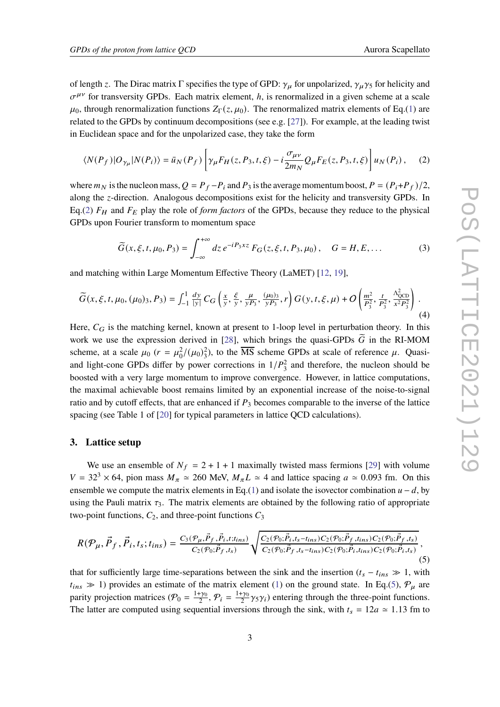of length z. The Dirac matrix  $\Gamma$  specifies the type of GPD:  $\gamma_{\mu}$  for unpolarized,  $\gamma_{\mu}\gamma_5$  for helicity and  $\sigma^{\mu\nu}$  for transversity GPDs. Each matrix element, h, is renormalized in a given scheme at a scale  $\mu_0$ , through renormalization functions  $Z_{\Gamma}(z,\mu_0)$ . The renormalized matrix elements of Eq.[\(1\)](#page-1-0) are related to the GPDs by continuum decompositions (see e.g.  $[27]$ ). For example, at the leading twist in Euclidean space and for the unpolarized case, they take the form

<span id="page-2-0"></span>
$$
\langle N(P_f)|O_{\gamma_\mu}|N(P_i)\rangle = \bar{u}_N(P_f)\left[\gamma_\mu F_H(z, P_3, t, \xi) - i\frac{\sigma_{\mu\nu}}{2m_N}Q_\mu F_E(z, P_3, t, \xi)\right]u_N(P_i),\tag{2}
$$

where  $m_N$  is the nucleon mass,  $Q = P_f - P_i$  and  $P_3$  is the average momentum boost,  $P = (P_i + P_f)/2$ , along the z-direction. Analogous decompositions exist for the helicity and transversity GPDs. In Eq.[\(2\)](#page-2-0)  $F_H$  and  $F_E$  play the role of *form factors* of the GPDs, because they reduce to the physical GPDs upon Fourier transform to momentum space

$$
\widetilde{G}(x,\xi,t,\mu_0,P_3) = \int_{-\infty}^{+\infty} dz \, e^{-iP_3xz} \, F_G(z,\xi,t,P_3,\mu_0) \, , \quad G = H, E, \dots \tag{3}
$$

and matching within Large Momentum Effective Theory (LaMET) [\[12,](#page-8-6) [19\]](#page-8-14),

<span id="page-2-2"></span>
$$
\widetilde{G}(x,\xi,t,\mu_0,(\mu_0)_3,P_3) = \int_{-1}^{1} \frac{dy}{|y|} C_G\left(\frac{x}{y},\frac{\xi}{y},\frac{\mu}{yP_3},\frac{(\mu_0)_3}{yP_3},r\right) G(y,t,\xi,\mu) + O\left(\frac{m^2}{P_3^2},\frac{t}{P_3^2},\frac{\Lambda_{\text{QCD}}^2}{x^2 P_3^2}\right). \tag{4}
$$

Here,  $C_G$  is the matching kernel, known at present to 1-loop level in perturbation theory. In this work we use the expression derived in [\[28\]](#page-9-4), which brings the quasi-GPDs  $\tilde{G}$  in the RI-MOM scheme, at a scale  $\mu_0$   $(r = \mu_0^2/(\mu_0)_3^2)$ , to the  $\overline{\text{MS}}$  scheme GPDs at scale of reference  $\mu$ . Quasiand light-cone GPDs differ by power corrections in  $1/P_3^2$  and therefore, the nucleon should be boosted with a very large momentum to improve convergence. However, in lattice computations, the maximal achievable boost remains limited by an exponential increase of the noise-to-signal ratio and by cutoff effects, that are enhanced if  $P_3$  becomes comparable to the inverse of the lattice spacing (see Table 1 of [\[20\]](#page-8-15) for typical parameters in lattice QCD calculations).

#### **3. Lattice setup**

We use an ensemble of  $N_f = 2 + 1 + 1$  maximally twisted mass fermions [\[29\]](#page-9-5) with volume  $V = 32<sup>3</sup> \times 64$ , pion mass  $M_{\pi} \approx 260$  MeV,  $M_{\pi}L \approx 4$  and lattice spacing  $a \approx 0.093$  fm. On this ensemble we compute the matrix elements in Eq.[\(1\)](#page-1-0) and isolate the isovector combination  $u - d$ , by using the Pauli matrix  $\tau_3$ . The matrix elements are obtained by the following ratio of appropriate two-point functions,  $C_2$ , and three-point functions  $C_3$ 

<span id="page-2-1"></span>
$$
R(\mathcal{P}_{\mu}, \vec{P}_{f}, \vec{P}_{i}, t_{s}; t_{ins}) = \frac{C_{3}(\mathcal{P}_{\mu}, \vec{P}_{f}, \vec{P}_{i}, t; t_{ins})}{C_{2}(\mathcal{P}_{0}; \vec{P}_{f}, t_{s})} \sqrt{\frac{C_{2}(\mathcal{P}_{0}; \vec{P}_{i}, t_{s} - t_{ins}) C_{2}(\mathcal{P}_{0}; \vec{P}_{f}, t_{ins}) C_{2}(\mathcal{P}_{0}; \vec{P}_{f}, t_{s})}{C_{2}(\mathcal{P}_{0}; \vec{P}_{f}, t_{s} - t_{ins}) C_{2}(\mathcal{P}_{0}; \vec{P}_{i}, t_{ins}) C_{2}(\mathcal{P}_{0}; \vec{P}_{i}, t_{s})}},
$$
\n
$$
(5)
$$

that for sufficiently large time-separations between the sink and the insertion  $(t_s - t_{ins} \gg 1$ , with  $t_{ins} \gg 1$ ) provides an estimate of the matrix element [\(1\)](#page-1-0) on the ground state. In Eq.[\(5\)](#page-2-1),  $\mathcal{P}_{\mu}$  are parity projection matrices ( $\mathcal{P}_0 = \frac{1+\gamma_0}{2}, \mathcal{P}_i = \frac{1+\gamma_0}{2}\gamma_5\gamma_i$ ) entering through the three-point functions. The latter are computed using sequential inversions through the sink, with  $t_s = 12a \approx 1.13$  fm to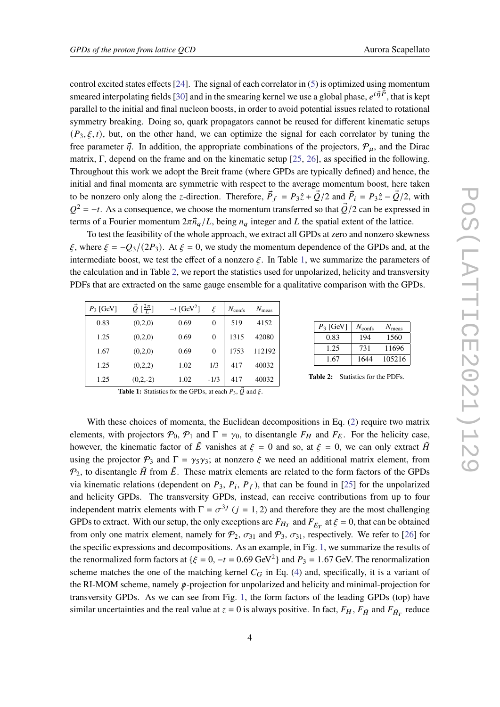control excited states effects  $[24]$ . The signal of each correlator in  $(5)$  is optimized using momentum smeared interpolating fields [\[30\]](#page-9-6) and in the smearing kernel we use a global phase,  $e^{i \vec{\eta} \vec{P}}$ , that is kept parallel to the initial and final nucleon boosts, in order to avoid potential issues related to rotational symmetry breaking. Doing so, quark propagators cannot be reused for different kinematic setups  $(P_3, \xi, t)$ , but, on the other hand, we can optimize the signal for each correlator by tuning the free parameter  $\vec{\eta}$ . In addition, the appropriate combinations of the projectors,  $\mathcal{P}_u$ , and the Dirac matrix, Γ, depend on the frame and on the kinematic setup [\[25,](#page-9-1) [26\]](#page-9-2), as specified in the following. Throughout this work we adopt the Breit frame (where GPDs are typically defined) and hence, the initial and final momenta are symmetric with respect to the average momentum boost, here taken to be nonzero only along the *z*-direction. Therefore,  $\vec{P}_f = P_3 \hat{z} + \vec{Q}/2$  and  $\vec{P}_i = P_3 \hat{z} - \vec{Q}/2$ , with  $Q^2 = -t$ . As a consequence, we choose the momentum transferred so that  $\vec{Q}/2$  can be expressed in terms of a Fourier momentum  $2\pi \vec{n}_q/L$ , being  $n_q$  integer and L the spatial extent of the lattice.

To test the feasibility of the whole approach, we extract all GPDs at zero and nonzero skewness  $\xi$ , where  $\xi = -Q_3/(2P_3)$ . At  $\xi = 0$ , we study the momentum dependence of the GPDs and, at the intermediate boost, we test the effect of a nonzero  $\xi$ . In Table [1,](#page-3-0) we summarize the parameters of the calculation and in Table [2,](#page-3-0) we report the statistics used for unpolarized, helicity and transversity PDFs that are extracted on the same gauge ensemble for a qualitative comparison with the GPDs.

<span id="page-3-0"></span>

| $P_3$ [GeV] | $\vec{Q} \left[\frac{2\pi}{L}\right]$ | $-t$ [GeV <sup>2</sup> ] | ξ        | $N_{\text{confs}}$ | $N_{\rm meas}$ |
|-------------|---------------------------------------|--------------------------|----------|--------------------|----------------|
| 0.83        | (0,2,0)                               | 0.69                     | $\theta$ | 519                | 4152           |
| 1.25        | (0,2,0)                               | 0.69                     | $\theta$ | 1315               | 42080          |
| 1.67        | (0,2,0)                               | 0.69                     | $\theta$ | 1753               | 112192         |
| 1.25        | (0,2,2)                               | 1.02                     | 1/3      | 417                | 40032          |
| 1.25        | $(0,2,-2)$                            | 1.02                     | $-1/3$   | 417                | 40032          |

| $P_3$ [GeV] | $N_{\text{confs}}$ | $N_{\rm meas}$ |
|-------------|--------------------|----------------|
| 0.83        | 194                | 1560           |
| 1.25        | 731                | 11696          |
| 1.67        | 1644               | 105216         |

**Table 2:** Statistics for the PDFs.

**Table 1:** Statistics for the GPDs, at each  $P_3$ ,  $\vec{Q}$  and  $\vec{\xi}$ .

With these choices of momenta, the Euclidean decompositions in Eq. [\(2\)](#page-2-0) require two matrix elements, with projectors  $P_0$ ,  $P_1$  and  $\Gamma = \gamma_0$ , to disentangle  $F_H$  and  $F_E$ . For the helicity case, however, the kinematic factor of  $\tilde{E}$  vanishes at  $\xi = 0$  and so, at  $\xi = 0$ , we can only extract  $\tilde{H}$ using the projector  $\mathcal{P}_3$  and  $\Gamma = \gamma_5 \gamma_3$ ; at nonzero  $\xi$  we need an additional matrix element, from  $\mathcal{P}_2$ , to disentangle  $\tilde{H}$  from  $\tilde{E}$ . These matrix elements are related to the form factors of the GPDs via kinematic relations (dependent on  $P_3$ ,  $P_i$ ,  $P_f$ ), that can be found in [\[25\]](#page-9-1) for the unpolarized and helicity GPDs. The transversity GPDs, instead, can receive contributions from up to four independent matrix elements with  $\Gamma = \sigma^{3j}$  ( $j = 1, 2$ ) and therefore they are the most challenging GPDs to extract. With our setup, the only exceptions are  $F_{H_T}$  and  $F_{\tilde{E}_T}$  at  $\xi = 0$ , that can be obtained from only one matrix element, namely for  $P_2$ ,  $\sigma_{31}$  and  $P_3$ ,  $\sigma_{31}$ , respectively. We refer to [\[26\]](#page-9-2) for the specific expressions and decompositions. As an example, in Fig. [1,](#page-4-0) we summarize the results of the renormalized form factors at  $\{\xi = 0, -t = 0.69 \text{ GeV}^2\}$  and  $P_3 = 1.67 \text{ GeV}$ . The renormalization scheme matches the one of the matching kernel  $C_G$  in Eq. [\(4\)](#page-2-2) and, specifically, it is a variant of the RI-MOM scheme, namely  $\psi$ -projection for unpolarized and helicity and minimal-projection for transversity GPDs. As we can see from Fig. [1,](#page-4-0) the form factors of the leading GPDs (top) have similar uncertainties and the real value at  $z = 0$  is always positive. In fact,  $F_H$ ,  $F_{\tilde{H}}$  and  $F_{\tilde{H}_T}$  reduce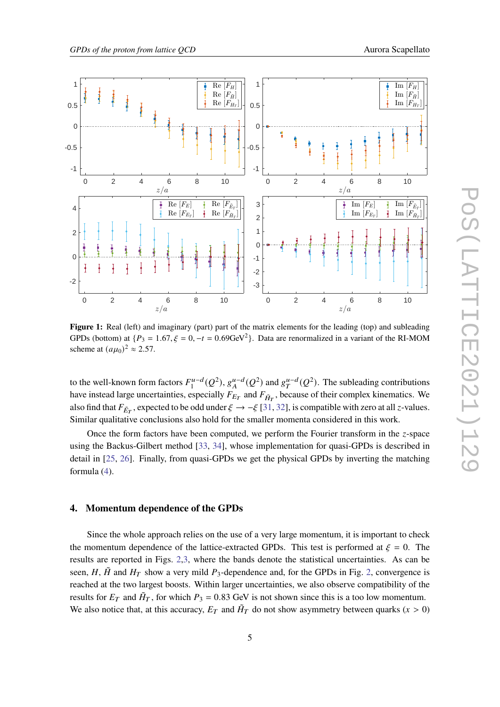<span id="page-4-0"></span>

**Figure 1:** Real (left) and imaginary (part) part of the matrix elements for the leading (top) and subleading GPDs (bottom) at  $\{P_3 = 1.67, \xi = 0, -t = 0.69 \text{GeV}^2\}$ . Data are renormalized in a variant of the RI-MOM scheme at  $(a\mu_0)^2 \approx 2.57$ .

to the well-known form factors  $F_1^{u-d}(Q^2)$ ,  $g_A^{u-d}(Q^2)$  and  $g_T^{u-d}(Q^2)$ . The subleading contributions have instead large uncertainties, especially  $F_{E_T}$  and  $F_{\tilde{H}_T}$ , because of their complex kinematics. We also find that  $F_{\tilde{E}_T}$ , expected to be odd under  $\xi \to -\xi$  [\[31,](#page-9-7) [32\]](#page-9-8), is compatible with zero at all *z*-values. Similar qualitative conclusions also hold for the smaller momenta considered in this work.

Once the form factors have been computed, we perform the Fourier transform in the z-space using the Backus-Gilbert method [\[33,](#page-9-9) [34\]](#page-9-10), whose implementation for quasi-GPDs is described in detail in [\[25,](#page-9-1) [26\]](#page-9-2). Finally, from quasi-GPDs we get the physical GPDs by inverting the matching formula [\(4\)](#page-2-2).

## **4. Momentum dependence of the GPDs**

Since the whole approach relies on the use of a very large momentum, it is important to check the momentum dependence of the lattice-extracted GPDs. This test is performed at  $\xi = 0$ . The results are reported in Figs. [2,](#page-5-0)[3,](#page-5-1) where the bands denote the statistical uncertainties. As can be seen, H,  $\tilde{H}$  and  $H_T$  show a very mild  $P_3$ -dependence and, for the GPDs in Fig. [2,](#page-5-0) convergence is reached at the two largest boosts. Within larger uncertainties, we also observe compatibility of the results for  $E_T$  and  $\tilde{H}_T$ , for which  $P_3 = 0.83$  GeV is not shown since this is a too low momentum. We also notice that, at this accuracy,  $E_T$  and  $\tilde{H}_T$  do not show asymmetry between quarks  $(x > 0)$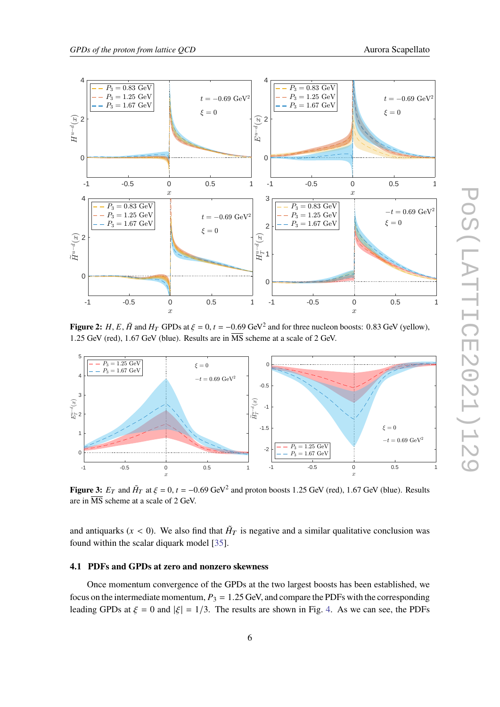<span id="page-5-0"></span>

**Figure 2:**  $H$ ,  $E$ ,  $\tilde{H}$  and  $H_T$  GPDs at  $\xi = 0$ ,  $t = -0.69$  GeV<sup>2</sup> and for three nucleon boosts: 0.83 GeV (yellow), 1.25 GeV (red), 1.67 GeV (blue). Results are in  $\overline{\text{MS}}$  scheme at a scale of 2 GeV.

<span id="page-5-1"></span>

**Figure 3:**  $E_T$  and  $\tilde{H}_T$  at  $\xi = 0$ ,  $t = -0.69$  GeV<sup>2</sup> and proton boosts 1.25 GeV (red), 1.67 GeV (blue). Results are in  $\overline{\text{MS}}$  scheme at a scale of 2 GeV.

and antiquarks ( $x < 0$ ). We also find that  $H_T$  is negative and a similar qualitative conclusion was found within the scalar diquark model [\[35\]](#page-9-11).

# **4.1 PDFs and GPDs at zero and nonzero skewness**

Once momentum convergence of the GPDs at the two largest boosts has been established, we focus on the intermediate momentum,  $P_3 = 1.25$  GeV, and compare the PDFs with the corresponding leading GPDs at  $\xi = 0$  and  $|\xi| = 1/3$ . The results are shown in Fig. [4.](#page-6-0) As we can see, the PDFs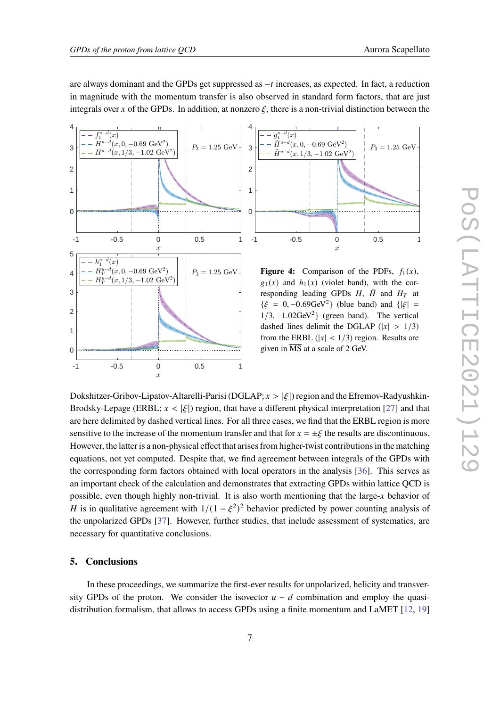are always dominant and the GPDs get suppressed as  $-t$  increases, as expected. In fact, a reduction in magnitude with the momentum transfer is also observed in standard form factors, that are just integrals over x of the GPDs. In addition, at nonzero  $\xi$ , there is a non-trivial distinction between the

<span id="page-6-0"></span>



**Figure 4:** Comparison of the PDFs,  $f_1(x)$ ,  $g_1(x)$  and  $h_1(x)$  (violet band), with the corresponding leading GPDs  $H$ ,  $\tilde{H}$  and  $H_T$  at  $\{\xi = 0, -0.69 \text{GeV}^2\}$  (blue band) and  $\{|\xi| =$  $1/3$ ,  $-1.02 \text{GeV}^2$ } (green band). The vertical dashed lines delimit the DGLAP  $(|x| > 1/3)$ from the ERBL ( $|x| < 1/3$ ) region. Results are given in MS at a scale of 2 GeV.

Dokshitzer-Gribov-Lipatov-Altarelli-Parisi (DGLAP;  $x > |\xi|$ ) region and the Efremov-Radyushkin-Brodsky-Lepage (ERBL;  $x < |\xi|$ ) region, that have a different physical interpretation [\[27\]](#page-9-3) and that are here delimited by dashed vertical lines. For all three cases, we find that the ERBL region is more sensitive to the increase of the momentum transfer and that for  $x = \pm \xi$  the results are discontinuous. However, the latter is a non-physical effect that arises from higher-twist contributions in the matching equations, not yet computed. Despite that, we find agreement between integrals of the GPDs with the corresponding form factors obtained with local operators in the analysis [\[36\]](#page-9-12). This serves as an important check of the calculation and demonstrates that extracting GPDs within lattice QCD is possible, even though highly non-trivial. It is also worth mentioning that the large- $x$  behavior of H is in qualitative agreement with  $1/(1 - \xi^2)^2$  behavior predicted by power counting analysis of the unpolarized GPDs [\[37\]](#page-9-13). However, further studies, that include assessment of systematics, are necessary for quantitative conclusions.

## **5. Conclusions**

In these proceedings, we summarize the first-ever results for unpolarized, helicity and transversity GPDs of the proton. We consider the isovector  $u - d$  combination and employ the quasidistribution formalism, that allows to access GPDs using a finite momentum and LaMET [\[12,](#page-8-6) [19\]](#page-8-14)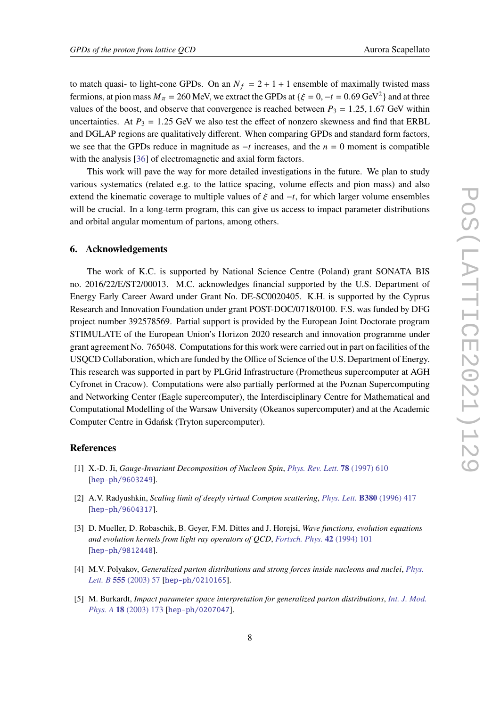to match quasi- to light-cone GPDs. On an  $N_f = 2 + 1 + 1$  ensemble of maximally twisted mass fermions, at pion mass  $M_{\pi} = 260$  MeV, we extract the GPDs at { $\xi = 0, -t = 0.69$  GeV<sup>2</sup>} and at three values of the boost, and observe that convergence is reached between  $P_3 = 1.25, 1.67$  GeV within uncertainties. At  $P_3 = 1.25$  GeV we also test the effect of nonzero skewness and find that ERBL and DGLAP regions are qualitatively different. When comparing GPDs and standard form factors, we see that the GPDs reduce in magnitude as  $-t$  increases, and the  $n = 0$  moment is compatible with the analysis [\[36\]](#page-9-12) of electromagnetic and axial form factors.

This work will pave the way for more detailed investigations in the future. We plan to study various systematics (related e.g. to the lattice spacing, volume effects and pion mass) and also extend the kinematic coverage to multiple values of  $\xi$  and  $-t$ , for which larger volume ensembles will be crucial. In a long-term program, this can give us access to impact parameter distributions and orbital angular momentum of partons, among others.

## **6. Acknowledgements**

The work of K.C. is supported by National Science Centre (Poland) grant SONATA BIS no. 2016/22/E/ST2/00013. M.C. acknowledges financial supported by the U.S. Department of Energy Early Career Award under Grant No. DE-SC0020405. K.H. is supported by the Cyprus Research and Innovation Foundation under grant POST-DOC/0718/0100. F.S. was funded by DFG project number 392578569. Partial support is provided by the European Joint Doctorate program STIMULATE of the European Union's Horizon 2020 research and innovation programme under grant agreement No. 765048. Computations for this work were carried out in part on facilities of the USQCD Collaboration, which are funded by the Office of Science of the U.S. Department of Energy. This research was supported in part by PLGrid Infrastructure (Prometheus supercomputer at AGH Cyfronet in Cracow). Computations were also partially performed at the Poznan Supercomputing and Networking Center (Eagle supercomputer), the Interdisciplinary Centre for Mathematical and Computational Modelling of the Warsaw University (Okeanos supercomputer) and at the Academic Computer Centre in Gdańsk (Tryton supercomputer).

# **References**

- <span id="page-7-0"></span>[1] X.-D. Ji, *Gauge-Invariant Decomposition of Nucleon Spin*, *[Phys. Rev. Lett.](https://doi.org/10.1103/PhysRevLett.78.610)* **78** (1997) 610 [[hep-ph/9603249](https://arxiv.org/abs/hep-ph/9603249)].
- [2] A.V. Radyushkin, *Scaling limit of deeply virtual Compton scattering*, *[Phys. Lett.](https://doi.org/10.1016/0370-2693(96)00528-X)* **B380** (1996) 417 [[hep-ph/9604317](https://arxiv.org/abs/hep-ph/9604317)].
- <span id="page-7-1"></span>[3] D. Mueller, D. Robaschik, B. Geyer, F.M. Dittes and J. Horejsi, *Wave functions, evolution equations and evolution kernels from light ray operators of QCD*, *[Fortsch. Phys.](https://doi.org/10.1002/prop.2190420202)* **42** (1994) 101 [[hep-ph/9812448](https://arxiv.org/abs/hep-ph/9812448)].
- <span id="page-7-2"></span>[4] M.V. Polyakov, *Generalized parton distributions and strong forces inside nucleons and nuclei*, *[Phys.](https://doi.org/10.1016/S0370-2693(03)00036-4) Lett. B* **555** [\(2003\) 57](https://doi.org/10.1016/S0370-2693(03)00036-4) [[hep-ph/0210165](https://arxiv.org/abs/hep-ph/0210165)].
- <span id="page-7-3"></span>[5] M. Burkardt, *Impact parameter space interpretation for generalized parton distributions*, *[Int. J. Mod.](https://doi.org/10.1142/S0217751X03012370) Phys. A* **18** [\(2003\) 173](https://doi.org/10.1142/S0217751X03012370) [[hep-ph/0207047](https://arxiv.org/abs/hep-ph/0207047)].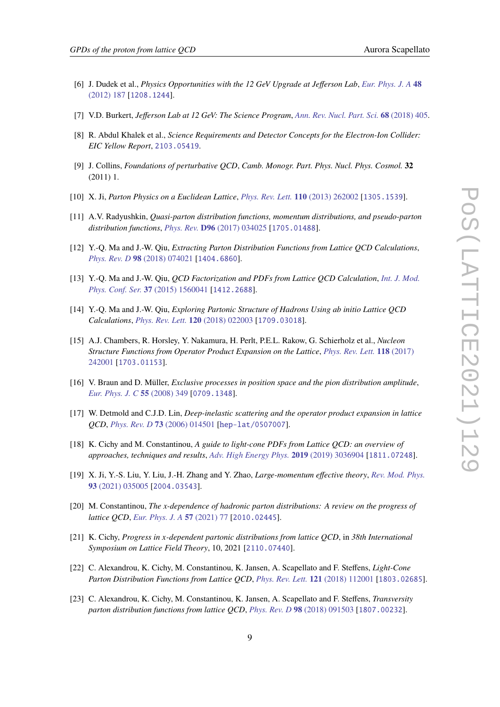- <span id="page-8-0"></span>[6] J. Dudek et al., *Physics Opportunities with the 12 GeV Upgrade at Jefferson Lab*, *[Eur. Phys. J. A](https://doi.org/10.1140/epja/i2012-12187-1)* **48** [\(2012\) 187](https://doi.org/10.1140/epja/i2012-12187-1) [[1208.1244](https://arxiv.org/abs/1208.1244)].
- <span id="page-8-1"></span>[7] V.D. Burkert, *Jefferson Lab at 12 GeV: The Science Program*, *[Ann. Rev. Nucl. Part. Sci.](https://doi.org/10.1146/annurev-nucl-101917-021129)* **68** (2018) 405.
- <span id="page-8-2"></span>[8] R. Abdul Khalek et al., *Science Requirements and Detector Concepts for the Electron-Ion Collider: EIC Yellow Report*, [2103.05419](https://arxiv.org/abs/2103.05419).
- <span id="page-8-3"></span>[9] J. Collins, *Foundations of perturbative QCD*, *Camb. Monogr. Part. Phys. Nucl. Phys. Cosmol.* **32** (2011) 1.
- <span id="page-8-4"></span>[10] X. Ji, *Parton Physics on a Euclidean Lattice*, *[Phys. Rev. Lett.](https://doi.org/10.1103/PhysRevLett.110.262002)* **110** (2013) 262002 [[1305.1539](https://arxiv.org/abs/1305.1539)].
- <span id="page-8-5"></span>[11] A.V. Radyushkin, *Quasi-parton distribution functions, momentum distributions, and pseudo-parton distribution functions*, *Phys. Rev.* **D96** [\(2017\) 034025](https://doi.org/10.1103/PhysRevD.96.034025) [[1705.01488](https://arxiv.org/abs/1705.01488)].
- <span id="page-8-6"></span>[12] Y.-Q. Ma and J.-W. Qiu, *Extracting Parton Distribution Functions from Lattice QCD Calculations*, *[Phys. Rev. D](https://doi.org/10.1103/PhysRevD.98.074021)* **98** (2018) 074021 [[1404.6860](https://arxiv.org/abs/1404.6860)].
- [13] Y.-Q. Ma and J.-W. Qiu, *QCD Factorization and PDFs from Lattice QCD Calculation*, *[Int. J. Mod.](https://doi.org/10.1142/S2010194515600411) [Phys. Conf. Ser.](https://doi.org/10.1142/S2010194515600411)* **37** (2015) 1560041 [[1412.2688](https://arxiv.org/abs/1412.2688)].
- <span id="page-8-7"></span>[14] Y.-Q. Ma and J.-W. Qiu, *Exploring Partonic Structure of Hadrons Using ab initio Lattice QCD Calculations*, *[Phys. Rev. Lett.](https://doi.org/10.1103/PhysRevLett.120.022003)* **120** (2018) 022003 [[1709.03018](https://arxiv.org/abs/1709.03018)].
- <span id="page-8-8"></span>[15] A.J. Chambers, R. Horsley, Y. Nakamura, H. Perlt, P.E.L. Rakow, G. Schierholz et al., *Nucleon Structure Functions from Operator Product Expansion on the Lattice*, *[Phys. Rev. Lett.](https://doi.org/10.1103/PhysRevLett.118.242001)* **118** (2017) [242001](https://doi.org/10.1103/PhysRevLett.118.242001) [[1703.01153](https://arxiv.org/abs/1703.01153)].
- <span id="page-8-9"></span>[16] V. Braun and D. Müller, *Exclusive processes in position space and the pion distribution amplitude*, *[Eur. Phys. J. C](https://doi.org/10.1140/epjc/s10052-008-0608-4)* **55** (2008) 349 [[0709.1348](https://arxiv.org/abs/0709.1348)].
- <span id="page-8-10"></span>[17] W. Detmold and C.J.D. Lin, *Deep-inelastic scattering and the operator product expansion in lattice QCD*, *[Phys. Rev. D](https://doi.org/10.1103/PhysRevD.73.014501)* **73** (2006) 014501 [[hep-lat/0507007](https://arxiv.org/abs/hep-lat/0507007)].
- <span id="page-8-11"></span>[18] K. Cichy and M. Constantinou, *A guide to light-cone PDFs from Lattice QCD: an overview of approaches, techniques and results*, *[Adv. High Energy Phys.](https://doi.org/10.1155/2019/3036904)* **2019** (2019) 3036904 [[1811.07248](https://arxiv.org/abs/1811.07248)].
- <span id="page-8-14"></span>[19] X. Ji, Y.-S. Liu, Y. Liu, J.-H. Zhang and Y. Zhao, *Large-momentum effective theory*, *[Rev. Mod. Phys.](https://doi.org/10.1103/RevModPhys.93.035005)* **93** [\(2021\) 035005](https://doi.org/10.1103/RevModPhys.93.035005) [[2004.03543](https://arxiv.org/abs/2004.03543)].
- <span id="page-8-15"></span>[20] M. Constantinou, *The x-dependence of hadronic parton distributions: A review on the progress of lattice QCD*, *[Eur. Phys. J. A](https://doi.org/10.1140/epja/s10050-021-00353-7)* **57** (2021) 77 [[2010.02445](https://arxiv.org/abs/2010.02445)].
- <span id="page-8-12"></span>[21] K. Cichy, *Progress in x-dependent partonic distributions from lattice QCD*, in 38th International *Symposium on Lattice Field Theory*, 10, 2021 [[2110.07440](https://arxiv.org/abs/2110.07440)].
- <span id="page-8-13"></span>[22] C. Alexandrou, K. Cichy, M. Constantinou, K. Jansen, A. Scapellato and F. Steffens, *Light-Cone Parton Distribution Functions from Lattice QCD*, *[Phys. Rev. Lett.](https://doi.org/10.1103/PhysRevLett.121.112001)* **121** (2018) 112001 [[1803.02685](https://arxiv.org/abs/1803.02685)].
- [23] C. Alexandrou, K. Cichy, M. Constantinou, K. Jansen, A. Scapellato and F. Steffens, *Transversity parton distribution functions from lattice QCD*, *[Phys. Rev. D](https://doi.org/10.1103/PhysRevD.98.091503)* **98** (2018) 091503 [[1807.00232](https://arxiv.org/abs/1807.00232)].